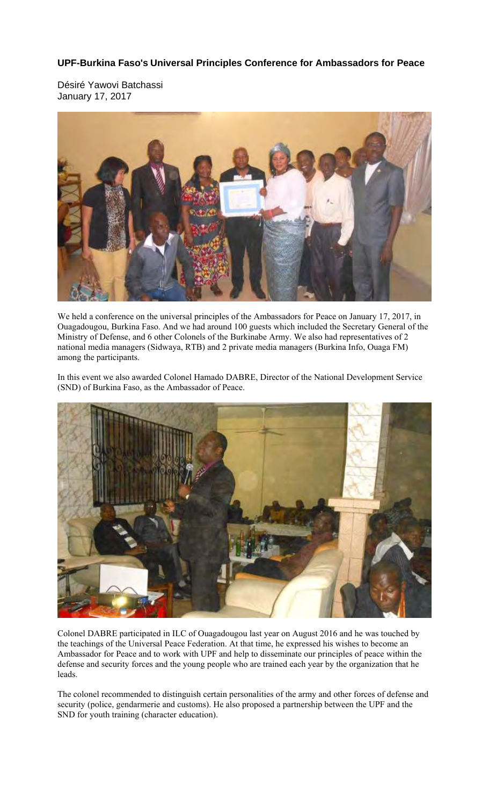## **UPF-Burkina Faso's Universal Principles Conference for Ambassadors for Peace**

Désiré Yawovi Batchassi January 17, 2017



We held a conference on the universal principles of the Ambassadors for Peace on January 17, 2017, in Ouagadougou, Burkina Faso. And we had around 100 guests which included the Secretary General of the Ministry of Defense, and 6 other Colonels of the Burkinabe Army. We also had representatives of 2 national media managers (Sidwaya, RTB) and 2 private media managers (Burkina Info, Ouaga FM) among the participants.

In this event we also awarded Colonel Hamado DABRE, Director of the National Development Service (SND) of Burkina Faso, as the Ambassador of Peace.



Colonel DABRE participated in ILC of Ouagadougou last year on August 2016 and he was touched by the teachings of the Universal Peace Federation. At that time, he expressed his wishes to become an Ambassador for Peace and to work with UPF and help to disseminate our principles of peace within the defense and security forces and the young people who are trained each year by the organization that he leads.

The colonel recommended to distinguish certain personalities of the army and other forces of defense and security (police, gendarmerie and customs). He also proposed a partnership between the UPF and the SND for youth training (character education).